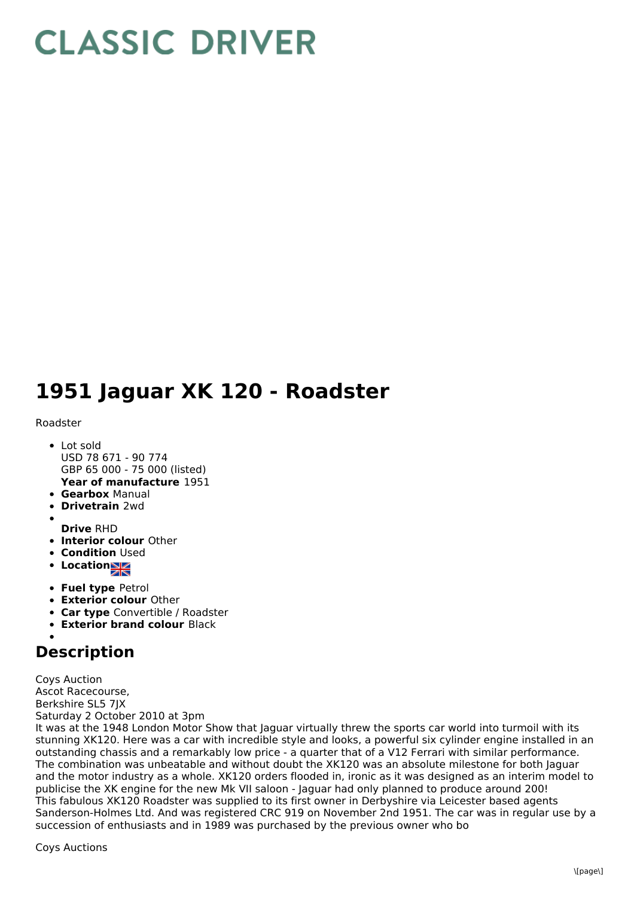## **CLASSIC DRIVER**

## **1951 Jaguar XK 120 - Roadster**

## Roadster

- **Year of manufacture** 1951 Lot sold USD 78 671 - 90 774 GBP 65 000 - 75 000 (listed)
- **Gearbox** Manual
- **Drivetrain** 2wd
- 
- **Drive** RHD
- **Interior colour** Other
- **Condition Used**
- **Location**
- **Fuel type** Petrol
- **Exterior colour** Other
- **Car type** Convertible / Roadster
- **Exterior brand colour** Black

## **Description**

Coys Auction Ascot Racecourse, Berkshire SL5 7JX Saturday 2 October 2010 at 3pm

It was at the 1948 London Motor Show that Jaguar virtually threw the sports car world into turmoil with its stunning XK120. Here was a car with incredible style and looks, a powerful six cylinder engine installed in an outstanding chassis and a remarkably low price - a quarter that of a V12 Ferrari with similar performance. The combination was unbeatable and without doubt the XK120 was an absolute milestone for both Jaguar and the motor industry as a whole. XK120 orders flooded in, ironic as it was designed as an interim model to publicise the XK engine for the new Mk VII saloon - Jaguar had only planned to produce around 200! This fabulous XK120 Roadster was supplied to its first owner in Derbyshire via Leicester based agents Sanderson-Holmes Ltd. And was registered CRC 919 on November 2nd 1951. The car was in regular use by a succession of enthusiasts and in 1989 was purchased by the previous owner who bo

Coys Auctions